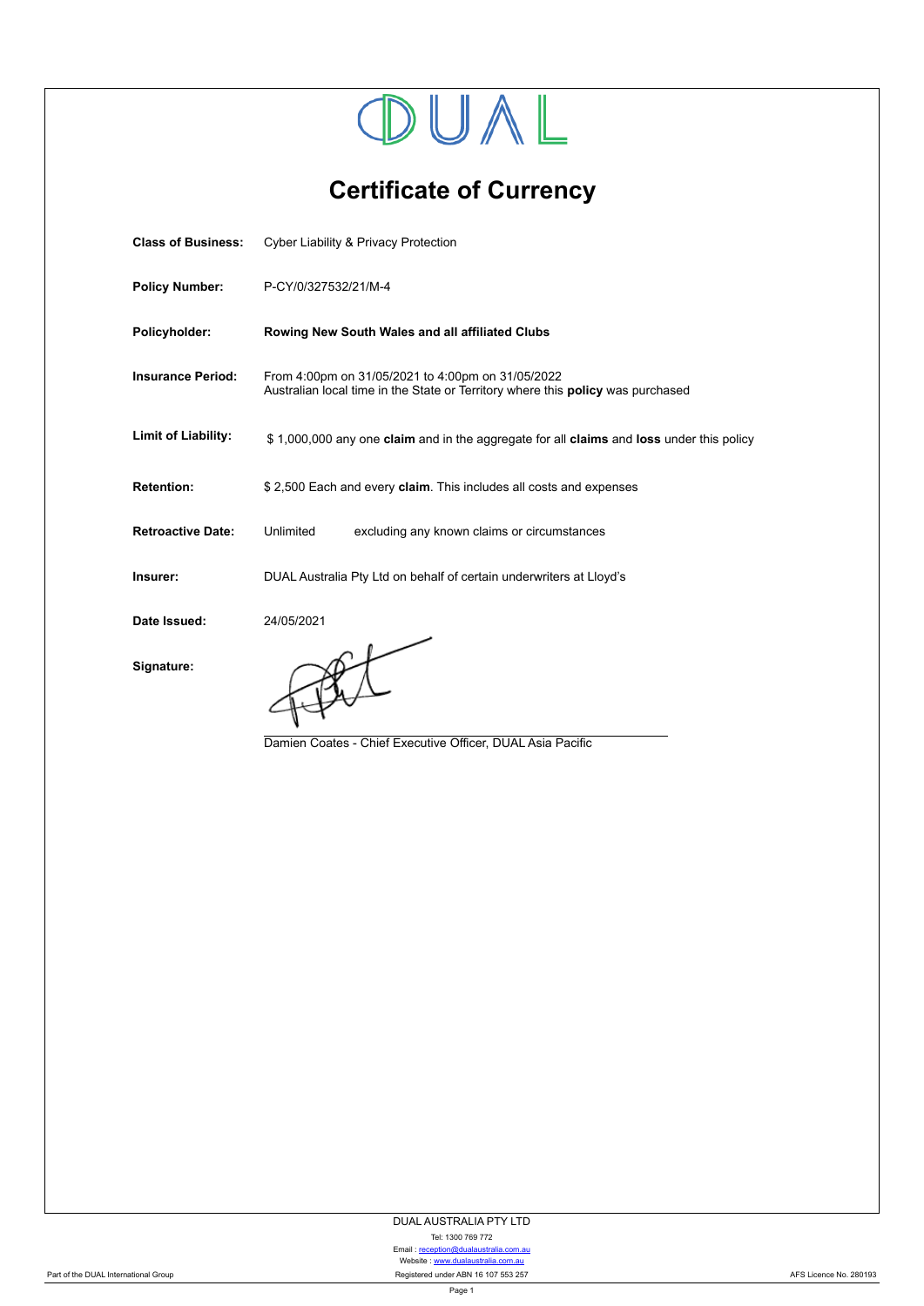

**Certificate of Currency**

| <b>Class of Business:</b> | <b>Cyber Liability &amp; Privacy Protection</b>                                                                                             |  |  |
|---------------------------|---------------------------------------------------------------------------------------------------------------------------------------------|--|--|
| <b>Policy Number:</b>     | P-CY/0/327532/21/M-4                                                                                                                        |  |  |
| Policyholder:             | Rowing New South Wales and all affiliated Clubs                                                                                             |  |  |
| <b>Insurance Period:</b>  | From 4:00pm on 31/05/2021 to 4:00pm on 31/05/2022<br>Australian local time in the State or Territory where this <b>policy</b> was purchased |  |  |
| Limit of Liability:       | \$1,000,000 any one claim and in the aggregate for all claims and loss under this policy                                                    |  |  |
| <b>Retention:</b>         | \$2,500 Each and every claim. This includes all costs and expenses                                                                          |  |  |
| <b>Retroactive Date:</b>  | Unlimited<br>excluding any known claims or circumstances                                                                                    |  |  |
| Insurer:                  | DUAL Australia Pty Ltd on behalf of certain underwriters at Lloyd's                                                                         |  |  |
| Date Issued:              | 24/05/2021                                                                                                                                  |  |  |
| Signature:                | Damien Coates - Chief Executive Officer, DUAL Asia Pacific                                                                                  |  |  |

DUAL AUSTRALIA PTY LTD

Tel: 1300 769 772

Email : [reception@dualaustralia.com.au](mailto:reception@dualaustralia.com.au) Website : <www.dualaustralia.com.au>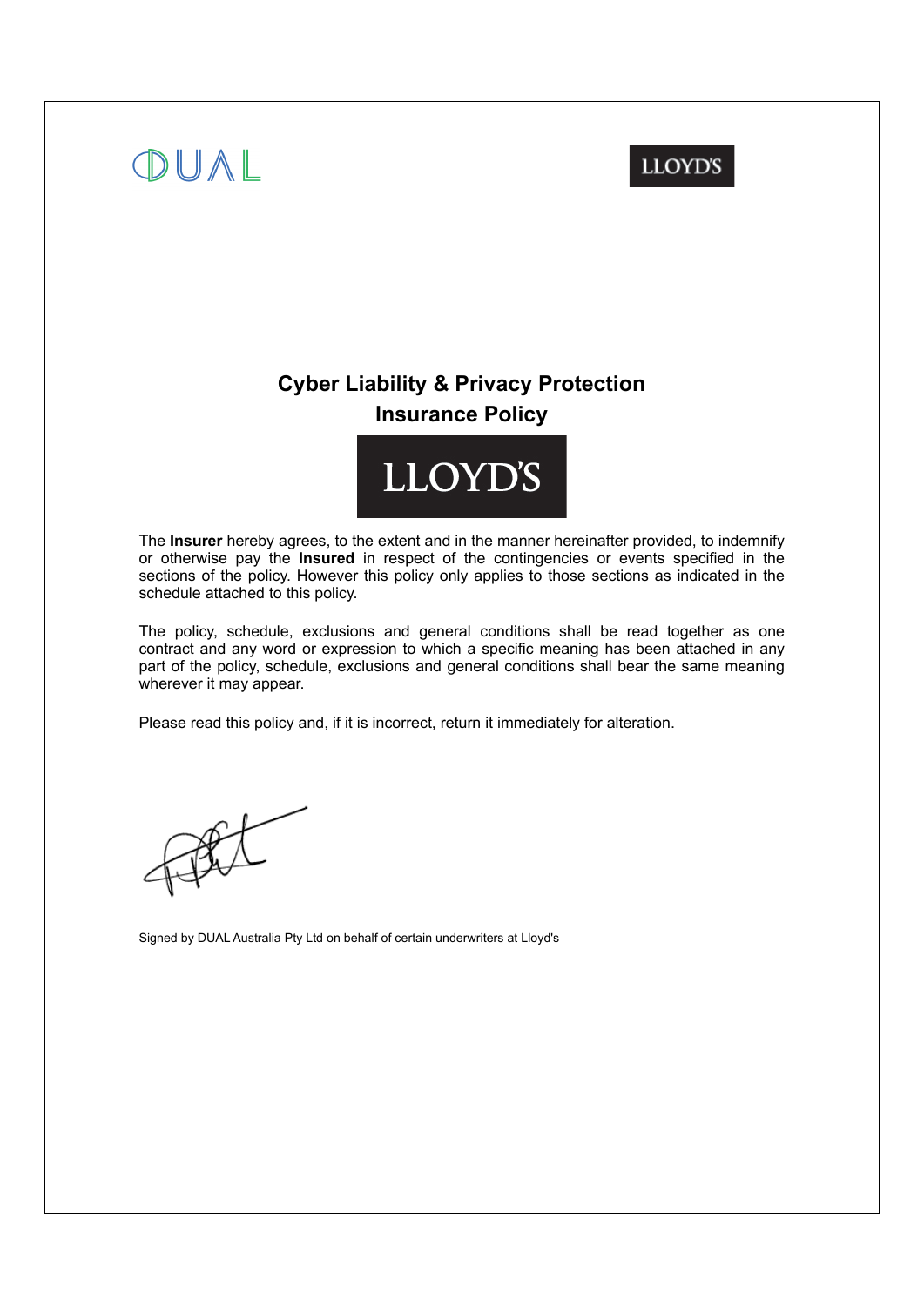# OUAL

## **LLOYD'S**

## **Cyber Liability & Privacy Protection Insurance Policy**



The **Insurer** hereby agrees, to the extent and in the manner hereinafter provided, to indemnify or otherwise pay the **Insured** in respect of the contingencies or events specified in the sections of the policy. However this policy only applies to those sections as indicated in the schedule attached to this policy.

The policy, schedule, exclusions and general conditions shall be read together as one contract and any word or expression to which a specific meaning has been attached in any part of the policy, schedule, exclusions and general conditions shall bear the same meaning wherever it may appear.

Please read this policy and, if it is incorrect, return it immediately for alteration.

Signed by DUAL Australia Pty Ltd on behalf of certain underwriters at Lloyd's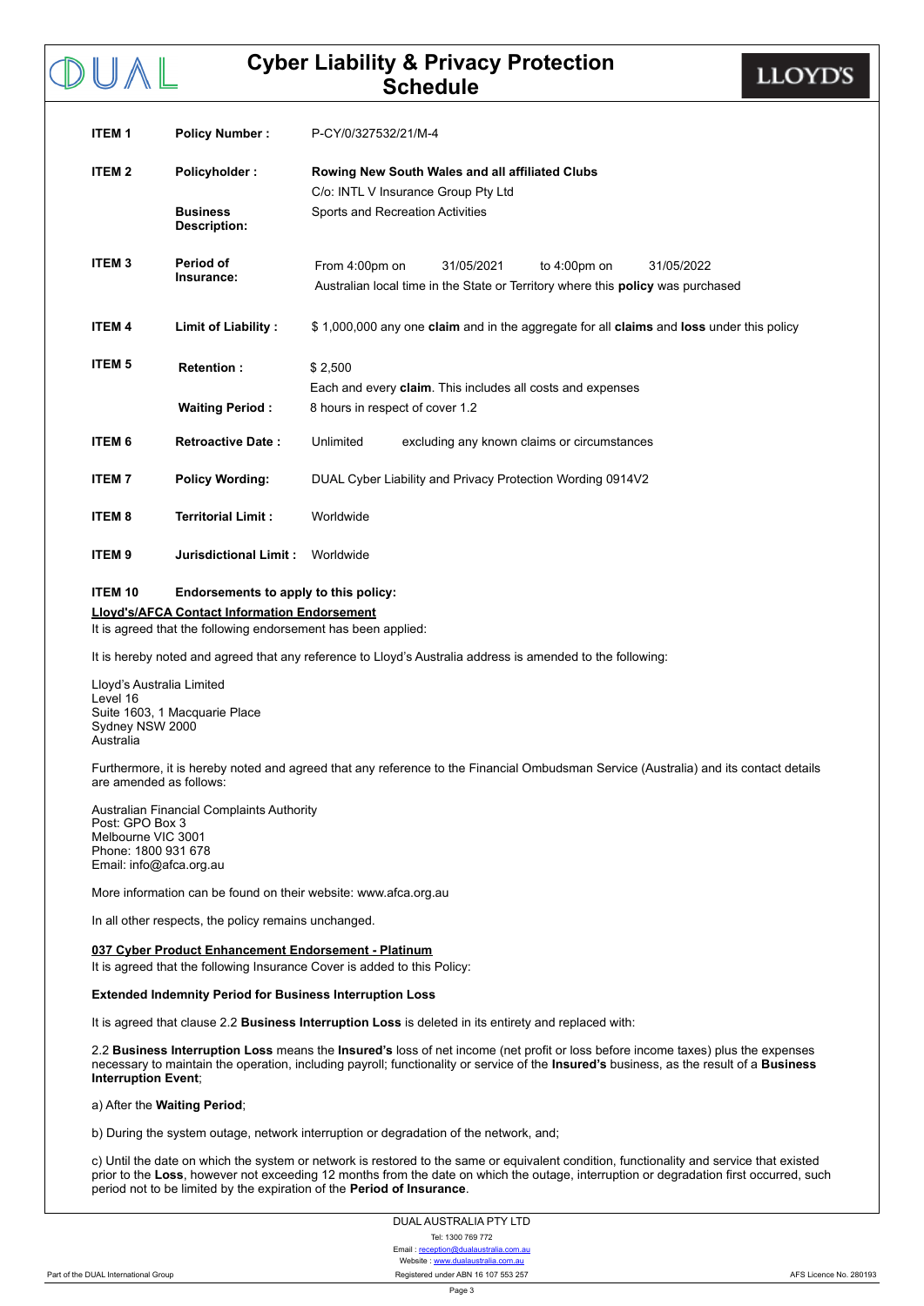| <b>ITEM1</b>      | <b>Policy Number:</b>                  | P-CY/0/327532/21/M-4                                                                                                                                           |  |  |  |
|-------------------|----------------------------------------|----------------------------------------------------------------------------------------------------------------------------------------------------------------|--|--|--|
| ITEM <sub>2</sub> | Policyholder:                          | Rowing New South Wales and all affiliated Clubs<br>C/o: INTL V Insurance Group Pty Ltd                                                                         |  |  |  |
|                   |                                        |                                                                                                                                                                |  |  |  |
|                   | <b>Business</b><br><b>Description:</b> | Sports and Recreation Activities                                                                                                                               |  |  |  |
| <b>ITEM3</b>      | Period of<br>Insurance:                | From 4:00pm on<br>31/05/2021<br>to $4:00 \text{pm}$ on<br>31/05/2022<br>Australian local time in the State or Territory where this <b>policy</b> was purchased |  |  |  |
| <b>ITEM 4</b>     | <b>Limit of Liability:</b>             | \$1,000,000 any one claim and in the aggregate for all claims and loss under this policy                                                                       |  |  |  |
| <b>ITEM 5</b>     | <b>Retention:</b>                      | \$2.500                                                                                                                                                        |  |  |  |
|                   |                                        | Each and every claim. This includes all costs and expenses                                                                                                     |  |  |  |
|                   | <b>Waiting Period:</b>                 | 8 hours in respect of cover 1.2                                                                                                                                |  |  |  |
| <b>ITEM 6</b>     | <b>Retroactive Date:</b>               | Unlimited<br>excluding any known claims or circumstances                                                                                                       |  |  |  |
| <b>ITEM7</b>      | <b>Policy Wording:</b>                 | DUAL Cyber Liability and Privacy Protection Wording 0914V2                                                                                                     |  |  |  |
| <b>ITEM8</b>      | <b>Territorial Limit:</b>              | Worldwide                                                                                                                                                      |  |  |  |
| <b>ITEM9</b>      | Jurisdictional Limit:                  | Worldwide                                                                                                                                                      |  |  |  |

#### **ITEM 10 Endorsements to apply to this policy:**

#### **Lloyd's/AFCA Contact Information Endorsement**

It is agreed that the following endorsement has been applied:

It is hereby noted and agreed that any reference to Lloyd's Australia address is amended to the following:

Lloyd's Australia Limited Level 16 Suite 1603, 1 Macquarie Place Sydney NSW 2000 Australia

DUAL

Furthermore, it is hereby noted and agreed that any reference to the Financial Ombudsman Service (Australia) and its contact details are amended as follows:

Australian Financial Complaints Authority Post: GPO Box 3 Melbourne VIC 3001 Phone: 1800 931 678 Email: info@afca.org.au

More information can be found on their website: www.afca.org.au

In all other respects, the policy remains unchanged.

#### **037 Cyber Product Enhancement Endorsement Platinum**

It is agreed that the following Insurance Cover is added to this Policy:

#### **Extended Indemnity Period for Business Interruption Loss**

It is agreed that clause 2.2 **Business Interruption Loss** is deleted in its entirety and replaced with:

2.2 **Business Interruption Loss** means the **Insured's** loss of net income (net profit or loss before income taxes) plus the expenses necessary to maintain the operation, including payroll; functionality or service of the **Insured's** business, as the result of a **Business Interruption Event**;

a) After the **Waiting Period**;

b) During the system outage, network interruption or degradation of the network, and;

c) Until the date on which the system or network is restored to the same or equivalent condition, functionality and service that existed prior to the **Loss**, however not exceeding 12 months from the date on which the outage, interruption or degradation first occurred, such period not to be limited by the expiration of the **Period of Insurance**.

> DUAL AUSTRALIA PTY LTD Tel: 1300 769 772 Email : reception@du Website : <www.dualaustralia.com.au>

Page 3

**LLOYD'S**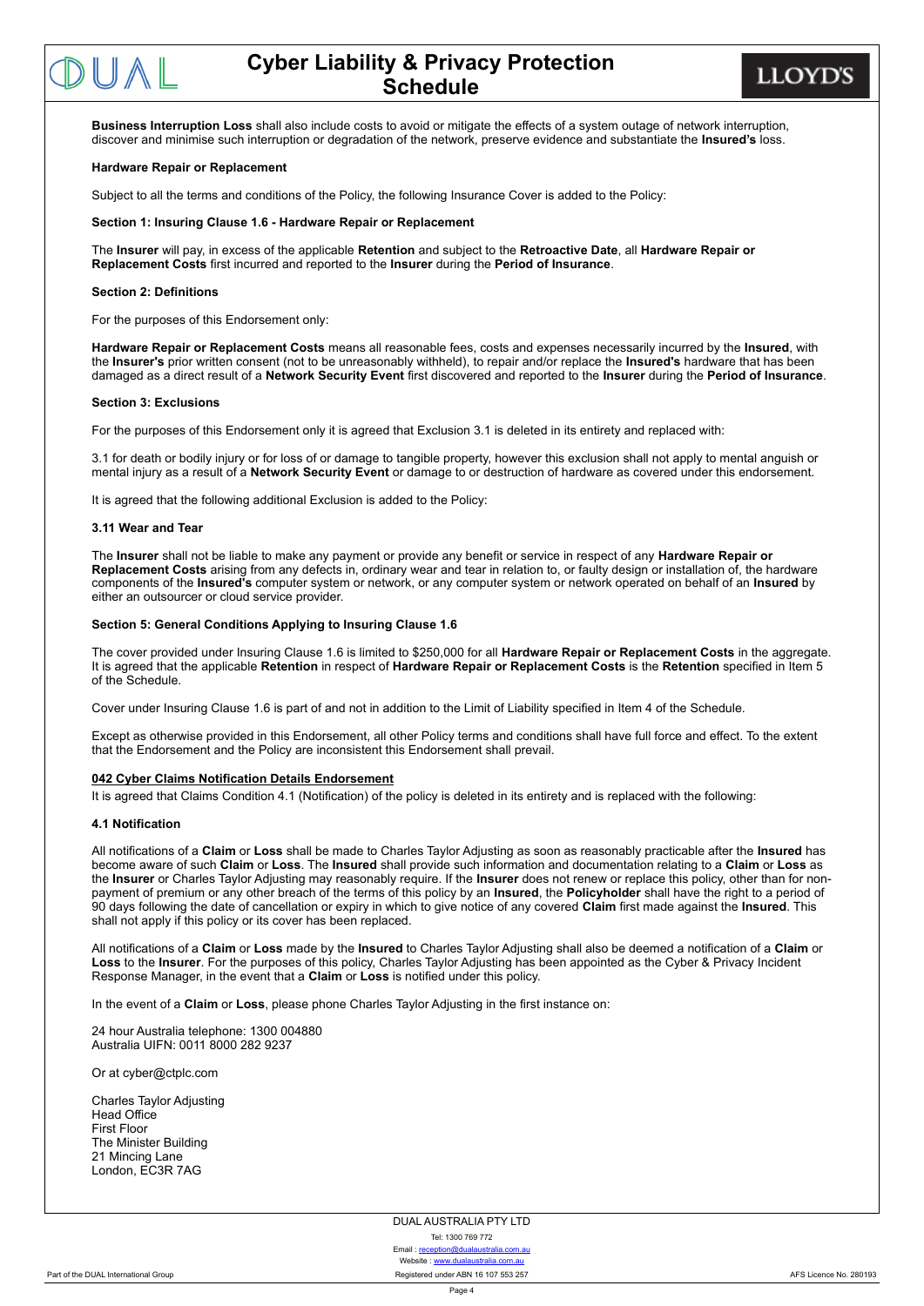**LLOYD'S** 

**Business Interruption Loss** shall also include costs to avoid or mitigate the effects of a system outage of network interruption, discover and minimise such interruption or degradation of the network, preserve evidence and substantiate the **Insured's** loss.

#### **Hardware Repair or Replacement**

Subject to all the terms and conditions of the Policy, the following Insurance Cover is added to the Policy:

#### **Section 1: Insuring Clause 1.6 Hardware Repair or Replacement**

The **Insurer** will pay, in excess of the applicable **Retention** and subject to the **Retroactive Date**, all **Hardware Repair or Replacement Costs** first incurred and reported to the **Insurer** during the **Period of Insurance**.

#### **Section 2: Definitions**

For the purposes of this Endorsement only:

**Hardware Repair or Replacement Costs** means all reasonable fees, costs and expenses necessarily incurred by the **Insured**, with the **Insurer's** prior written consent (not to be unreasonably withheld), to repair and/or replace the **Insured's** hardware that has been damaged as a direct result of a **Network Security Event** first discovered and reported to the **Insurer** during the **Period of Insurance**.

#### **Section 3: Exclusions**

For the purposes of this Endorsement only it is agreed that Exclusion 3.1 is deleted in its entirety and replaced with:

3.1 for death or bodily injury or for loss of or damage to tangible property, however this exclusion shall not apply to mental anguish or mental injury as a result of a **Network Security Event** or damage to or destruction of hardware as covered under this endorsement.

It is agreed that the following additional Exclusion is added to the Policy:

#### **3.11 Wear and Tear**

The **Insurer** shall not be liable to make any payment or provide any benefit or service in respect of any **Hardware Repair or Replacement Costs** arising from any defects in, ordinary wear and tear in relation to, or faulty design or installation of, the hardware components of the **Insured's** computer system or network, or any computer system or network operated on behalf of an **Insured** by either an outsourcer or cloud service provider.

#### **Section 5: General Conditions Applying to Insuring Clause 1.6**

The cover provided under Insuring Clause 1.6 is limited to \$250,000 for all **Hardware Repair or Replacement Costs** in the aggregate. It is agreed that the applicable **Retention** in respect of **Hardware Repair or Replacement Costs** is the **Retention** specified in Item 5 of the Schedule.

Cover under Insuring Clause 1.6 is part of and not in addition to the Limit of Liability specified in Item 4 of the Schedule.

Except as otherwise provided in this Endorsement, all other Policy terms and conditions shall have full force and effect. To the extent that the Endorsement and the Policy are inconsistent this Endorsement shall prevail.

#### **042 Cyber Claims Notification Details Endorsement**

It is agreed that Claims Condition 4.1 (Notification) of the policy is deleted in its entirety and is replaced with the following:

#### **4.1 Notification**

All notifications of a **Claim** or **Loss** shall be made to Charles Taylor Adjusting as soon as reasonably practicable after the **Insured** has become aware of such **Claim** or **Loss**. The **Insured** shall provide such information and documentation relating to a **Claim** or **Loss** as the **Insurer** or Charles Taylor Adjusting may reasonably require. If the **Insurer** does not renew or replace this policy, other than for nonpayment of premium or any other breach of the terms of this policy by an **Insured**, the **Policyholder** shall have the right to a period of 90 days following the date of cancellation or expiry in which to give notice of any covered **Claim** first made against the **Insured**. This shall not apply if this policy or its cover has been replaced.

All notifications of a **Claim** or **Loss** made by the **Insured** to Charles Taylor Adjusting shall also be deemed a notification of a **Claim** or **Loss** to the **Insurer**. For the purposes of this policy, Charles Taylor Adjusting has been appointed as the Cyber & Privacy Incident Response Manager, in the event that a **Claim** or **Loss** is notified under this policy.

In the event of a **Claim** or **Loss**, please phone Charles Taylor Adjusting in the first instance on:

24 hour Australia telephone: 1300 004880 Australia UIFN: 0011 8000 282 9237

Or at cyber@ctplc.com

Charles Taylor Adjusting Head Office First Floor The Minister Building 21 Mincing Lane London, EC3R 7AG

#### DUAL AUSTRALIA PTY LTD

Tel: 1300 769 772

Email : [reception@dualaustralia.com.au](mailto:reception@dualaustralia.com.au) Website : <www.dualaustralia.com.au> Part of the DUAL International Group County County Registered under ABN 16 107 553 257 AFS Licence No. 280193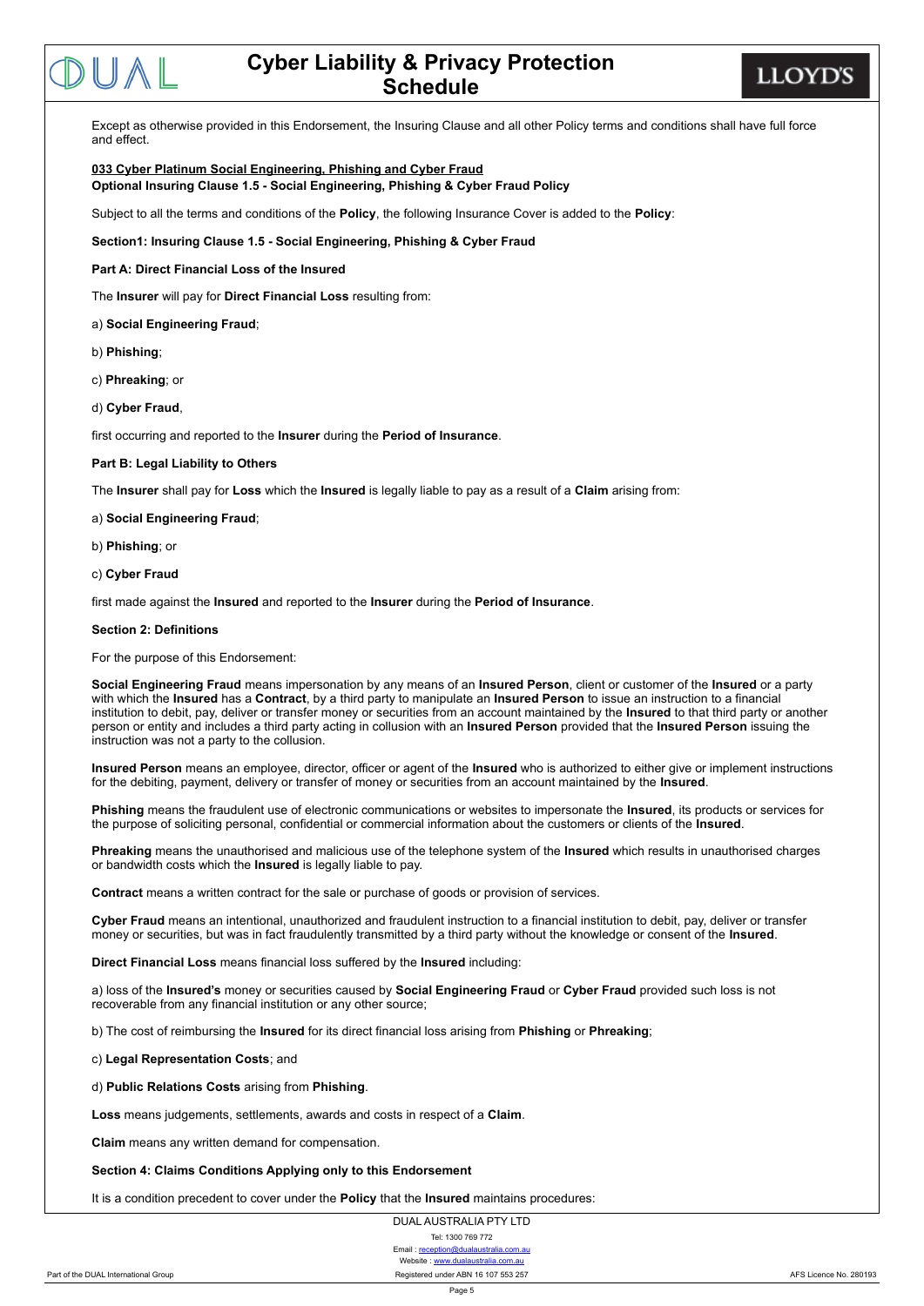**LLOYD'S** 

Except as otherwise provided in this Endorsement, the Insuring Clause and all other Policy terms and conditions shall have full force and effect.

#### **033 Cyber Platinum Social Engineering, Phishing and Cyber Fraud Optional Insuring Clause 1.5 Social Engineering, Phishing & Cyber Fraud Policy**

Subject to all the terms and conditions of the **Policy**, the following Insurance Cover is added to the **Policy**:

**Section1: Insuring Clause 1.5 Social Engineering, Phishing & Cyber Fraud**

#### **Part A: Direct Financial Loss of the Insured**

The **Insurer** will pay for **Direct Financial Loss** resulting from:

a) **Social Engineering Fraud**;

- b) **Phishing**;
- c) **Phreaking**; or
- d) **Cyber Fraud**,

first occurring and reported to the **Insurer** during the **Period of Insurance**.

#### **Part B: Legal Liability to Others**

The **Insurer** shall pay for **Loss** which the **Insured** is legally liable to pay as a result of a **Claim** arising from:

#### a) **Social Engineering Fraud**;

b) **Phishing**; or

c) **Cyber Fraud**

first made against the **Insured** and reported to the **Insurer** during the **Period of Insurance**.

#### **Section 2: Definitions**

For the purpose of this Endorsement:

**Social Engineering Fraud** means impersonation by any means of an **Insured Person**, client or customer of the **Insured** or a party with which the **Insured** has a **Contract**, by a third party to manipulate an **Insured Person** to issue an instruction to a financial institution to debit, pay, deliver or transfer money or securities from an account maintained by the **Insured** to that third party or another person or entity and includes a third party acting in collusion with an **Insured Person** provided that the **Insured Person** issuing the instruction was not a party to the collusion.

**Insured Person** means an employee, director, officer or agent of the **Insured** who is authorized to either give or implement instructions for the debiting, payment, delivery or transfer of money or securities from an account maintained by the **Insured**.

**Phishing** means the fraudulent use of electronic communications or websites to impersonate the **Insured**, its products or services for the purpose of soliciting personal, confidential or commercial information about the customers or clients of the **Insured**.

**Phreaking** means the unauthorised and malicious use of the telephone system of the **Insured** which results in unauthorised charges or bandwidth costs which the **Insured** is legally liable to pay.

**Contract** means a written contract for the sale or purchase of goods or provision of services.

**Cyber Fraud** means an intentional, unauthorized and fraudulent instruction to a financial institution to debit, pay, deliver or transfer money or securities, but was in fact fraudulently transmitted by a third party without the knowledge or consent of the **Insured**.

**Direct Financial Loss** means financial loss suffered by the **Insured** including:

a) loss of the **Insured's** money or securities caused by **Social Engineering Fraud** or **Cyber Fraud** provided such loss is not recoverable from any financial institution or any other source;

b) The cost of reimbursing the **Insured** for its direct financial loss arising from **Phishing** or **Phreaking**;

c) **Legal Representation Costs**; and

d) **Public Relations Costs** arising from **Phishing**.

**Loss** means judgements, settlements, awards and costs in respect of a **Claim**.

**Claim** means any written demand for compensation.

#### **Section 4: Claims Conditions Applying only to this Endorsement**

It is a condition precedent to cover under the **Policy** that the **Insured** maintains procedures:

DUAL AUSTRALIA PTY LTD Tel: 1300 769 772 Email : r Website : <www.dualaustralia.com.au> Part of the DUAL International Group County County Registered under ABN 16 107 553 257 AFS Licence No. 280193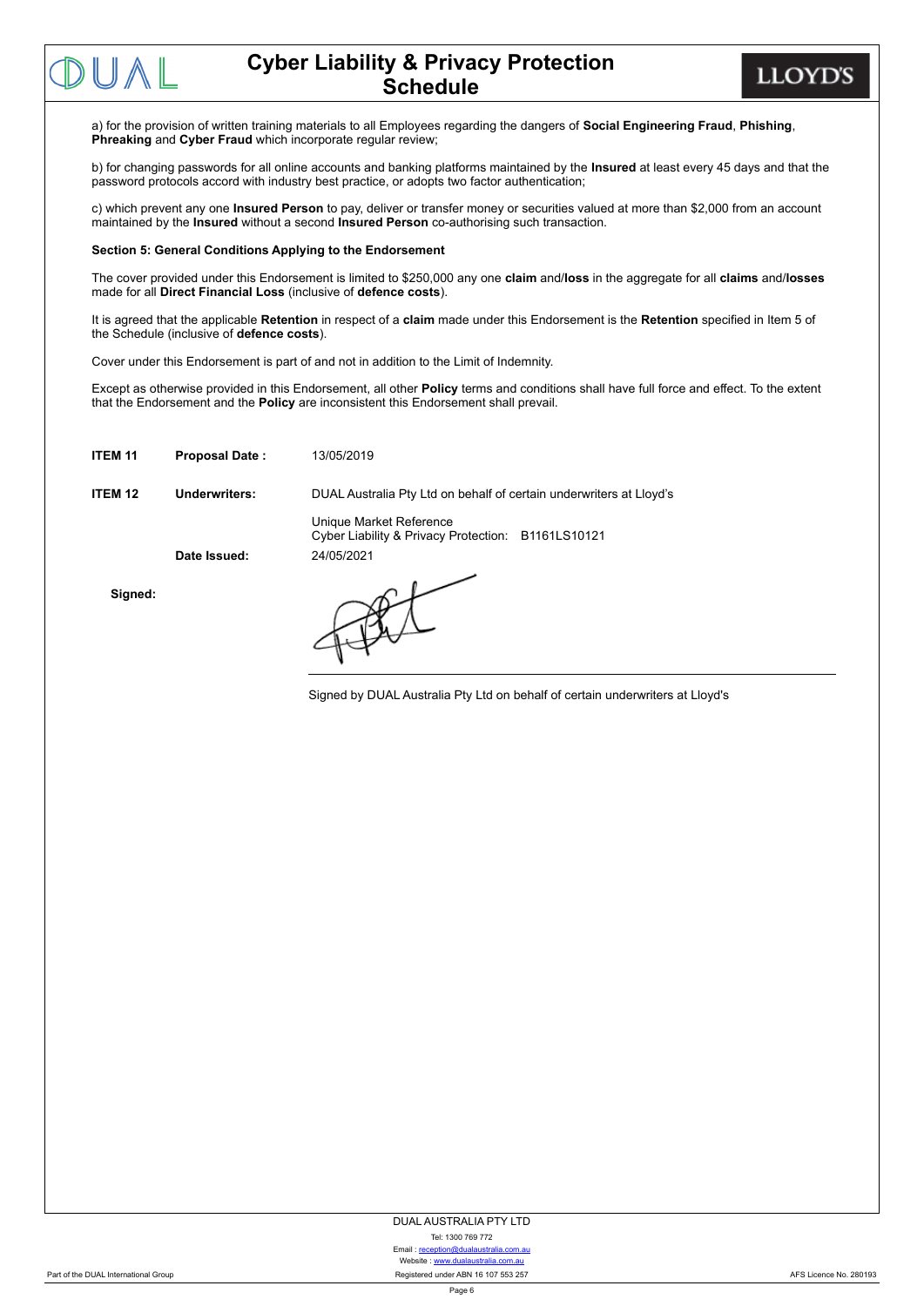

**LLOYD'S** 

a) for the provision of written training materials to all Employees regarding the dangers of **Social Engineering Fraud**, **Phishing**, **Phreaking** and **Cyber Fraud** which incorporate regular review;

b) for changing passwords for all online accounts and banking platforms maintained by the **Insured** at least every 45 days and that the password protocols accord with industry best practice, or adopts two factor authentication;

c) which prevent any one **Insured Person** to pay, deliver or transfer money or securities valued at more than \$2,000 from an account maintained by the **Insured** without a second **Insured Person** co-authorising such transaction.

#### **Section 5: General Conditions Applying to the Endorsement**

The cover provided under this Endorsement is limited to \$250,000 any one **claim** and/**loss** in the aggregate for all **claims** and/**losses** made for all **Direct Financial Loss** (inclusive of **defence costs**).

It is agreed that the applicable **Retention** in respect of a **claim** made under this Endorsement is the **Retention** specified in Item 5 of the Schedule (inclusive of **defence costs**).

Cover under this Endorsement is part of and not in addition to the Limit of Indemnity.

Except as otherwise provided in this Endorsement, all other **Policy** terms and conditions shall have full force and effect. To the extent that the Endorsement and the **Policy** are inconsistent this Endorsement shall prevail.

| ITEM <sub>11</sub> | <b>Proposal Date:</b> | 13/05/2019                                                                    |
|--------------------|-----------------------|-------------------------------------------------------------------------------|
| ITEM <sub>12</sub> | Underwriters:         | DUAL Australia Pty Ltd on behalf of certain underwriters at Lloyd's           |
|                    |                       | Unique Market Reference<br>Cyber Liability & Privacy Protection: B1161LS10121 |
|                    | Date Issued:          | 24/05/2021                                                                    |
| Signed:            |                       |                                                                               |

Signed by DUAL Australia Pty Ltd on behalf of certain underwriters at Lloyd's

DUAL AUSTRALIA PTY LTD

Tel: 1300 769 772 Email : reception@dualaustralia Website : <www.dualaustralia.com.au>

Part of the DUAL International Group **Registered International Croup Registered under ABN 16 107 553 257** AFS Licence Ro. 280193

Page 6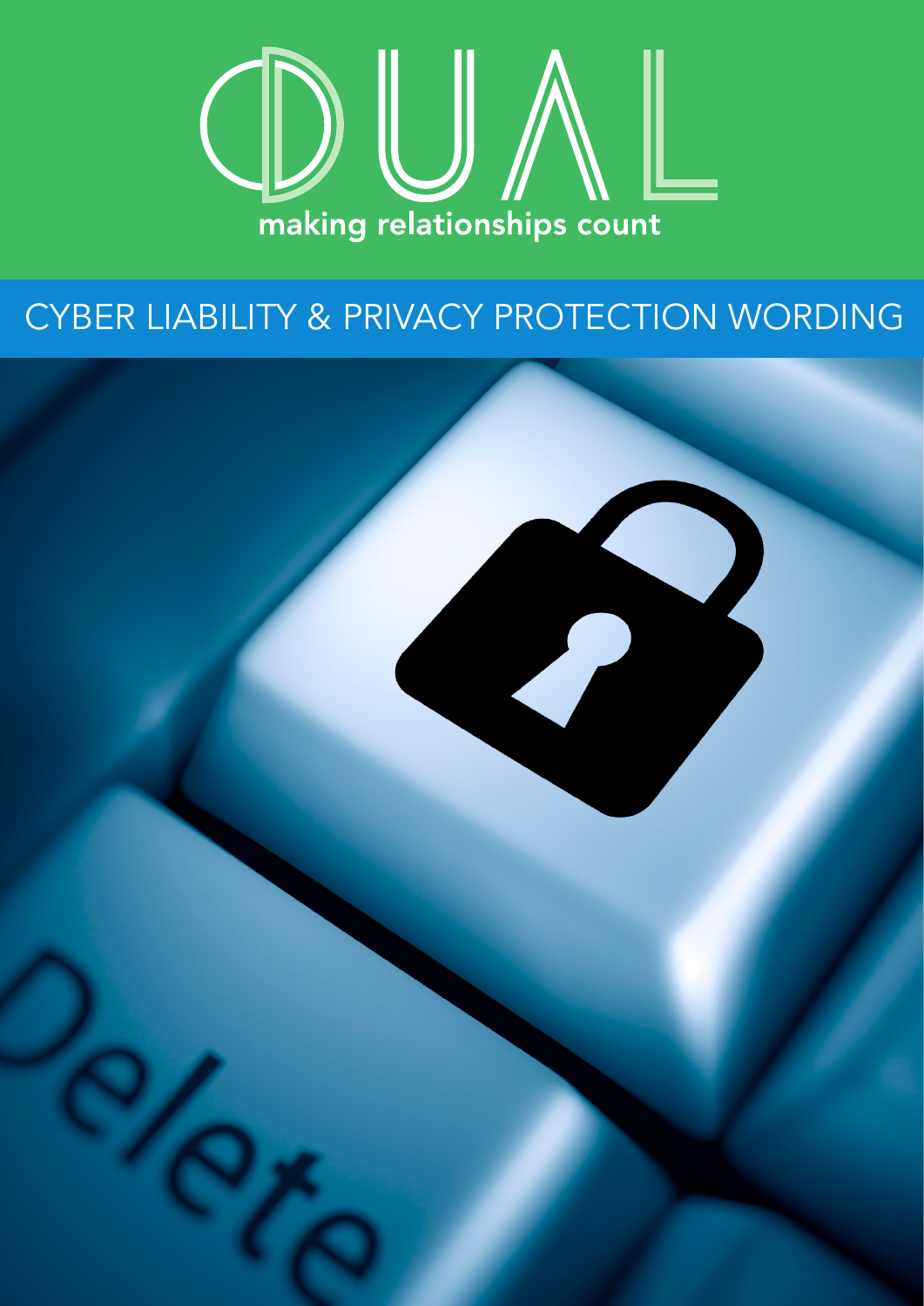

# CYBER LIABILITY & PRIVACY PROTECTION WORDING

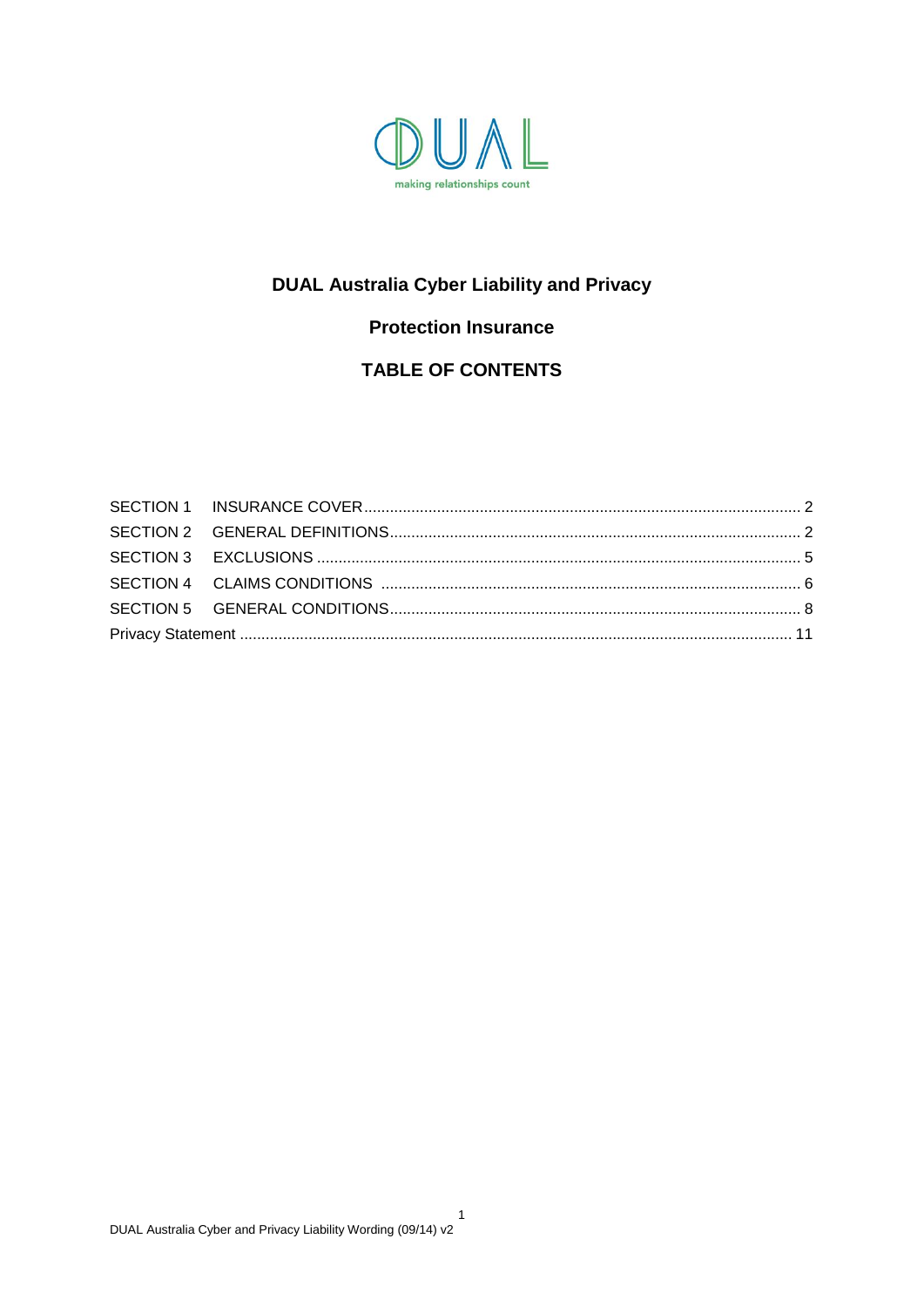

### **DUAL Australia Cyber Liability and Privacy**

### **Protection Insurance**

### **TABLE OF CONTENTS**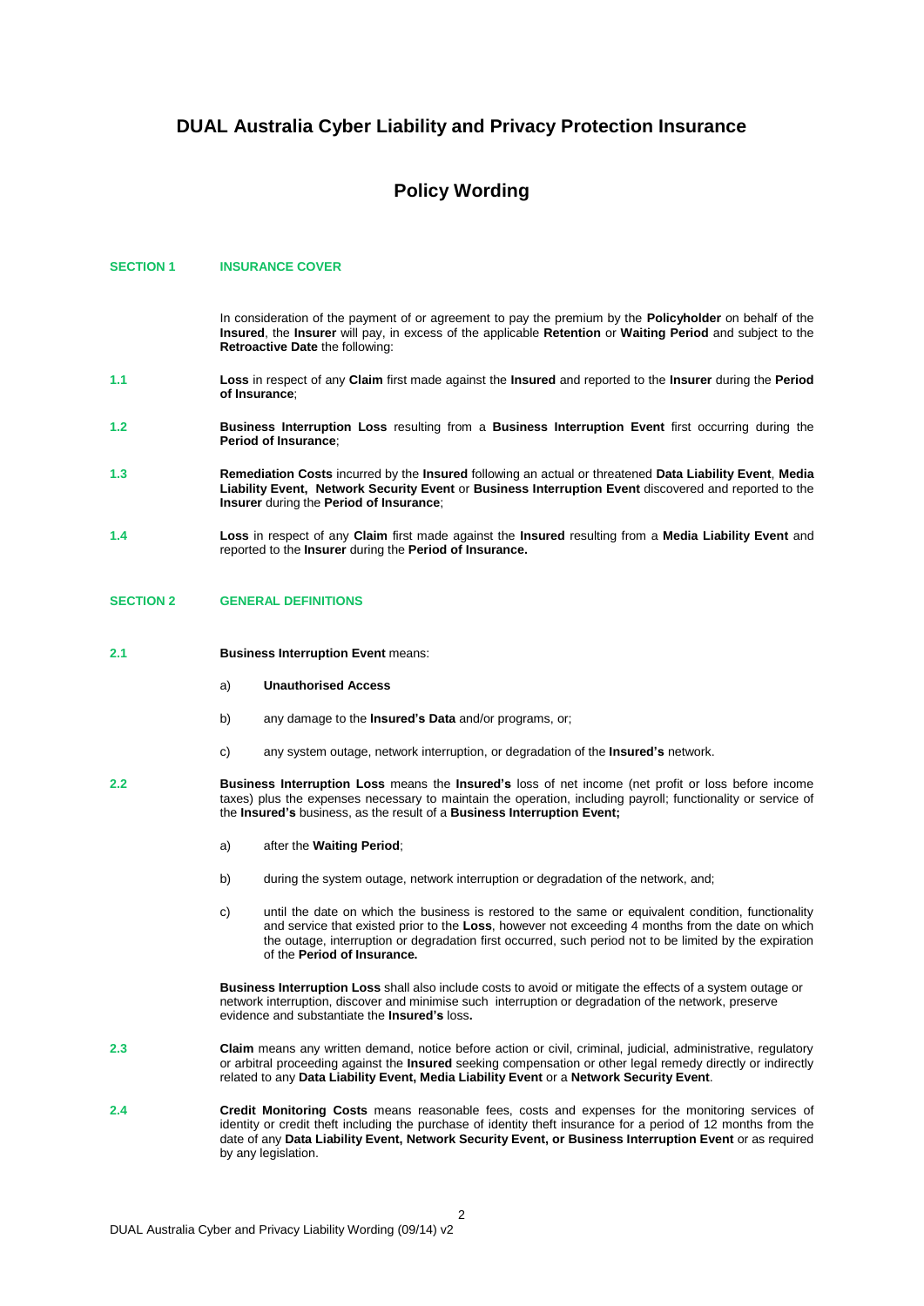### **DUAL Australia Cyber Liability and Privacy Protection Insurance**

### **Policy Wording**

#### <span id="page-8-0"></span>**SECTION 1 INSURANCE COVER**

In consideration of the payment of or agreement to pay the premium by the **Policyholder** on behalf of the **Insured**, the **Insurer** will pay, in excess of the applicable **Retention** or **Waiting Period** and subject to the **Retroactive Date** the following:

- **1.1 Loss** in respect of any **Claim** first made against the **Insured** and reported to the **Insurer** during the **Period of Insurance**;
- **1.2 Business Interruption Loss** resulting from a **Business Interruption Event** first occurring during the **Period of Insurance**;
- **1.3 Remediation Costs** incurred by the **Insured** following an actual or threatened **Data Liability Event**, **Media Liability Event, Network Security Event** or **Business Interruption Event** discovered and reported to the **Insurer** during the **Period of Insurance**;
- **1.4 Loss** in respect of any **Claim** first made against the **Insured** resulting from a **Media Liability Event** and reported to the **Insurer** during the **Period of Insurance.**

### <span id="page-8-1"></span>**SECTION 2 GENERAL DEFINITIONS**

- **2.1 Business Interruption Event** means:
	- a) **Unauthorised Access**
	- b) any damage to the **Insured's Data** and/or programs, or;
	- c) any system outage, network interruption, or degradation of the **Insured's** network.
- **2.2 Business Interruption Loss** means the **Insured's** loss of net income (net profit or loss before income taxes) plus the expenses necessary to maintain the operation, including payroll; functionality or service of the **Insured's** business, as the result of a **Business Interruption Event;**
	- a) after the **Waiting Period**;
	- b) during the system outage, network interruption or degradation of the network, and;
	- c) until the date on which the business is restored to the same or equivalent condition, functionality and service that existed prior to the **Loss**, however not exceeding 4 months from the date on which the outage, interruption or degradation first occurred, such period not to be limited by the expiration of the **Period of Insurance.**

**Business Interruption Loss** shall also include costs to avoid or mitigate the effects of a system outage or network interruption, discover and minimise such interruption or degradation of the network, preserve evidence and substantiate the **Insured's** loss**.**

- **2.3 Claim** means any written demand, notice before action or civil, criminal, judicial, administrative, regulatory or arbitral proceeding against the **Insured** seeking compensation or other legal remedy directly or indirectly related to any **Data Liability Event, Media Liability Event** or a **Network Security Event**.
- **2.4 Credit Monitoring Costs** means reasonable fees, costs and expenses for the monitoring services of identity or credit theft including the purchase of identity theft insurance for a period of 12 months from the date of any **Data Liability Event, Network Security Event, or Business Interruption Event** or as required by any legislation.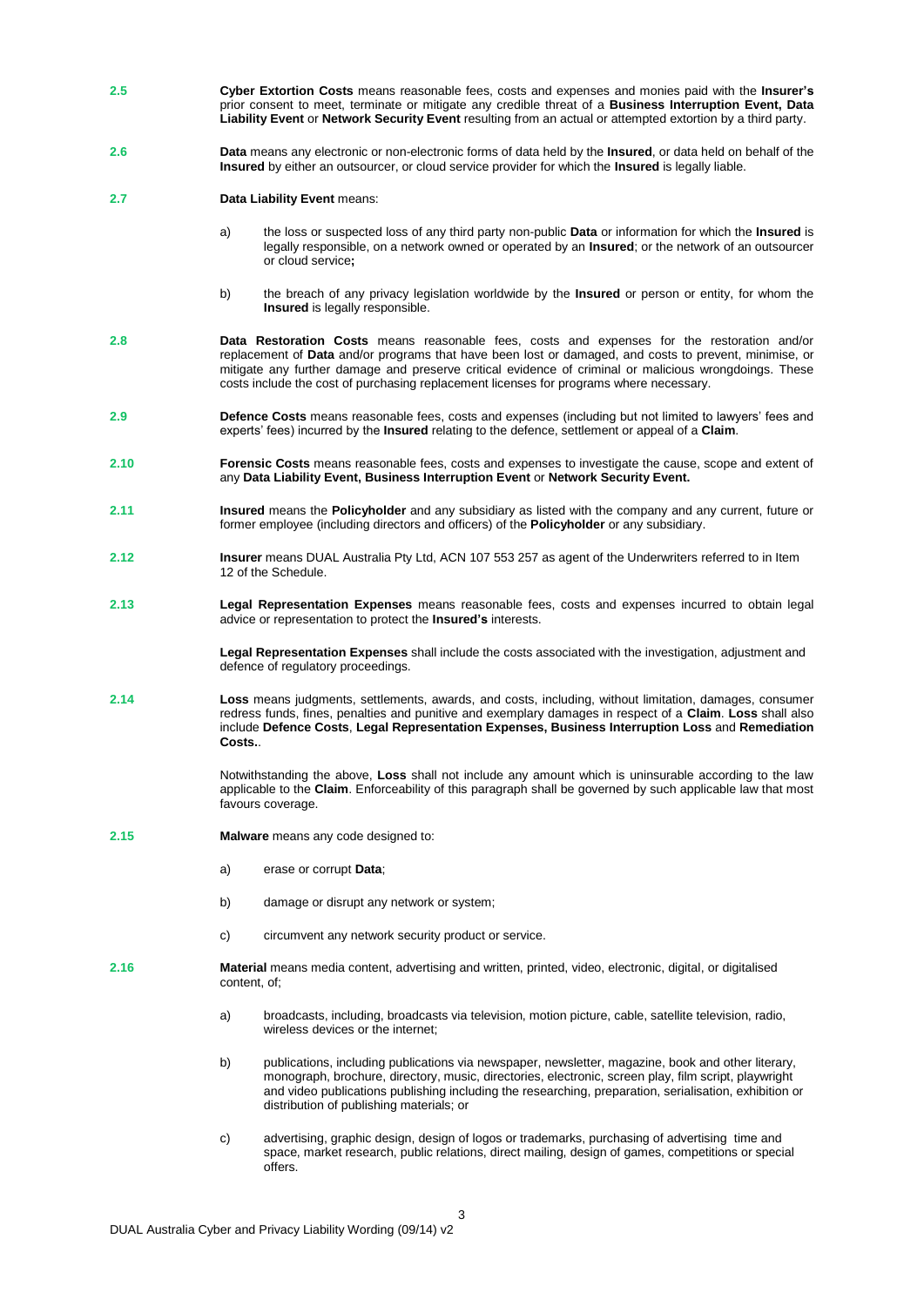- **2.5 Cyber Extortion Costs** means reasonable fees, costs and expenses and monies paid with the **Insurer's** prior consent to meet, terminate or mitigate any credible threat of a **Business Interruption Event, Data Liability Event** or **Network Security Event** resulting from an actual or attempted extortion by a third party.
- **2.6 Data** means any electronic or non-electronic forms of data held by the **Insured**, or data held on behalf of the **Insured** by either an outsourcer, or cloud service provider for which the **Insured** is legally liable.
- **2.7 Data Liability Event** means:
	- a) the loss or suspected loss of any third party non-public **Data** or information for which the **Insured** is legally responsible, on a network owned or operated by an **Insured**; or the network of an outsourcer or cloud service**;**
	- b) the breach of any privacy legislation worldwide by the **Insured** or person or entity, for whom the **Insured** is legally responsible.
- **2.8 Data Restoration Costs** means reasonable fees, costs and expenses for the restoration and/or replacement of **Data** and/or programs that have been lost or damaged, and costs to prevent, minimise, or mitigate any further damage and preserve critical evidence of criminal or malicious wrongdoings. These costs include the cost of purchasing replacement licenses for programs where necessary.
- **2.9 Defence Costs** means reasonable fees, costs and expenses (including but not limited to lawyers' fees and experts' fees) incurred by the **Insured** relating to the defence, settlement or appeal of a **Claim**.
- **2.10 Forensic Costs** means reasonable fees, costs and expenses to investigate the cause, scope and extent of any **Data Liability Event, Business Interruption Event** or **Network Security Event.**
- **2.11 Insured** means the **Policyholder** and any subsidiary as listed with the company and any current, future or former employee (including directors and officers) of the **Policyholder** or any subsidiary.
- **2.12 Insurer** means DUAL Australia Pty Ltd, ACN 107 553 257 as agent of the Underwriters referred to in Item 12 of the Schedule.
- **2.13 Legal Representation Expenses** means reasonable fees, costs and expenses incurred to obtain legal advice or representation to protect the **Insured's** interests.

**Legal Representation Expenses** shall include the costs associated with the investigation, adjustment and defence of regulatory proceedings.

**2.14 Loss** means judgments, settlements, awards, and costs, including, without limitation, damages, consumer redress funds, fines, penalties and punitive and exemplary damages in respect of a **Claim**. **Loss** shall also include **Defence Costs**, **Legal Representation Expenses, Business Interruption Loss** and **Remediation Costs.**.

> Notwithstanding the above, **Loss** shall not include any amount which is uninsurable according to the law applicable to the **Claim**. Enforceability of this paragraph shall be governed by such applicable law that most favours coverage.

- **2.15 Malware** means any code designed to:
	- a) erase or corrupt **Data**;
	- b) damage or disrupt any network or system;
	- c) circumvent any network security product or service.
- 2.16 **Material** means media content, advertising and written, printed, video, electronic, digital, or digitalised content, of;
	- a) broadcasts, including, broadcasts via television, motion picture, cable, satellite television, radio, wireless devices or the internet;
	- b) publications, including publications via newspaper, newsletter, magazine, book and other literary, monograph, brochure, directory, music, directories, electronic, screen play, film script, playwright and video publications publishing including the researching, preparation, serialisation, exhibition or distribution of publishing materials; or
	- c) advertising, graphic design, design of logos or trademarks, purchasing of advertising time and space, market research, public relations, direct mailing, design of games, competitions or special offers.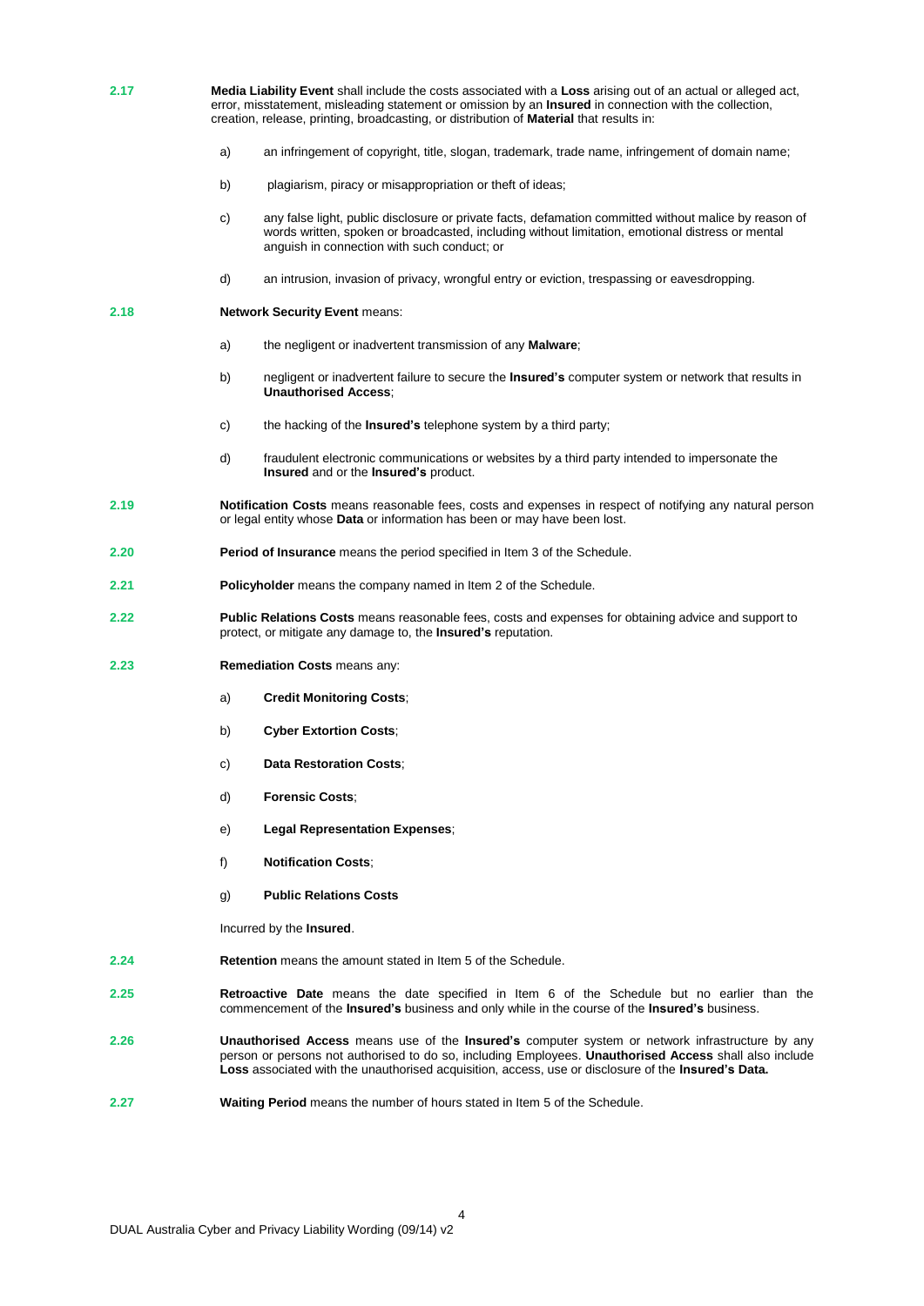**2.17 Media Liability Event** shall include the costs associated with a **Loss** arising out of an actual or alleged act, error, misstatement, misleading statement or omission by an **Insured** in connection with the collection, creation, release, printing, broadcasting, or distribution of **Material** that results in:

- a) an infringement of copyright, title, slogan, trademark, trade name, infringement of domain name;
- b) plagiarism, piracy or misappropriation or theft of ideas;
- c) any false light, public disclosure or private facts, defamation committed without malice by reason of words written, spoken or broadcasted, including without limitation, emotional distress or mental anguish in connection with such conduct; or
- d) an intrusion, invasion of privacy, wrongful entry or eviction, trespassing or eavesdropping.

#### **2.18 Network Security Event** means:

- a) the negligent or inadvertent transmission of any **Malware**;
- b) negligent or inadvertent failure to secure the **Insured's** computer system or network that results in **Unauthorised Access**;
- c) the hacking of the **Insured's** telephone system by a third party;
- d) fraudulent electronic communications or websites by a third party intended to impersonate the **Insured** and or the **Insured's** product.
- **2.19 Notification Costs** means reasonable fees, costs and expenses in respect of notifying any natural person or legal entity whose **Data** or information has been or may have been lost.
- **2.20 Period of Insurance** means the period specified in Item 3 of the Schedule.
- **2.21 Policyholder** means the company named in Item 2 of the Schedule.
- **2.22 Public Relations Costs** means reasonable fees, costs and expenses for obtaining advice and support to protect, or mitigate any damage to, the **Insured's** reputation.
- **2.23 Remediation Costs** means any:
	- a) **Credit Monitoring Costs**;
	- b) **Cyber Extortion Costs**;
	- c) **Data Restoration Costs**;
	- d) **Forensic Costs**;
	- e) **Legal Representation Expenses**;
	- f) **Notification Costs**;
	- g) **Public Relations Costs**

Incurred by the **Insured**.

- **2.24 Retention** means the amount stated in Item 5 of the Schedule.
- **2.25 Retroactive Date** means the date specified in Item 6 of the Schedule but no earlier than the commencement of the **Insured's** business and only while in the course of the **Insured's** business.
- **2.26 Unauthorised Access** means use of the **Insured's** computer system or network infrastructure by any person or persons not authorised to do so, including Employees. **Unauthorised Access** shall also include **Loss** associated with the unauthorised acquisition, access, use or disclosure of the **Insured's Data.**

4

**2.27 Waiting Period** means the number of hours stated in Item 5 of the Schedule.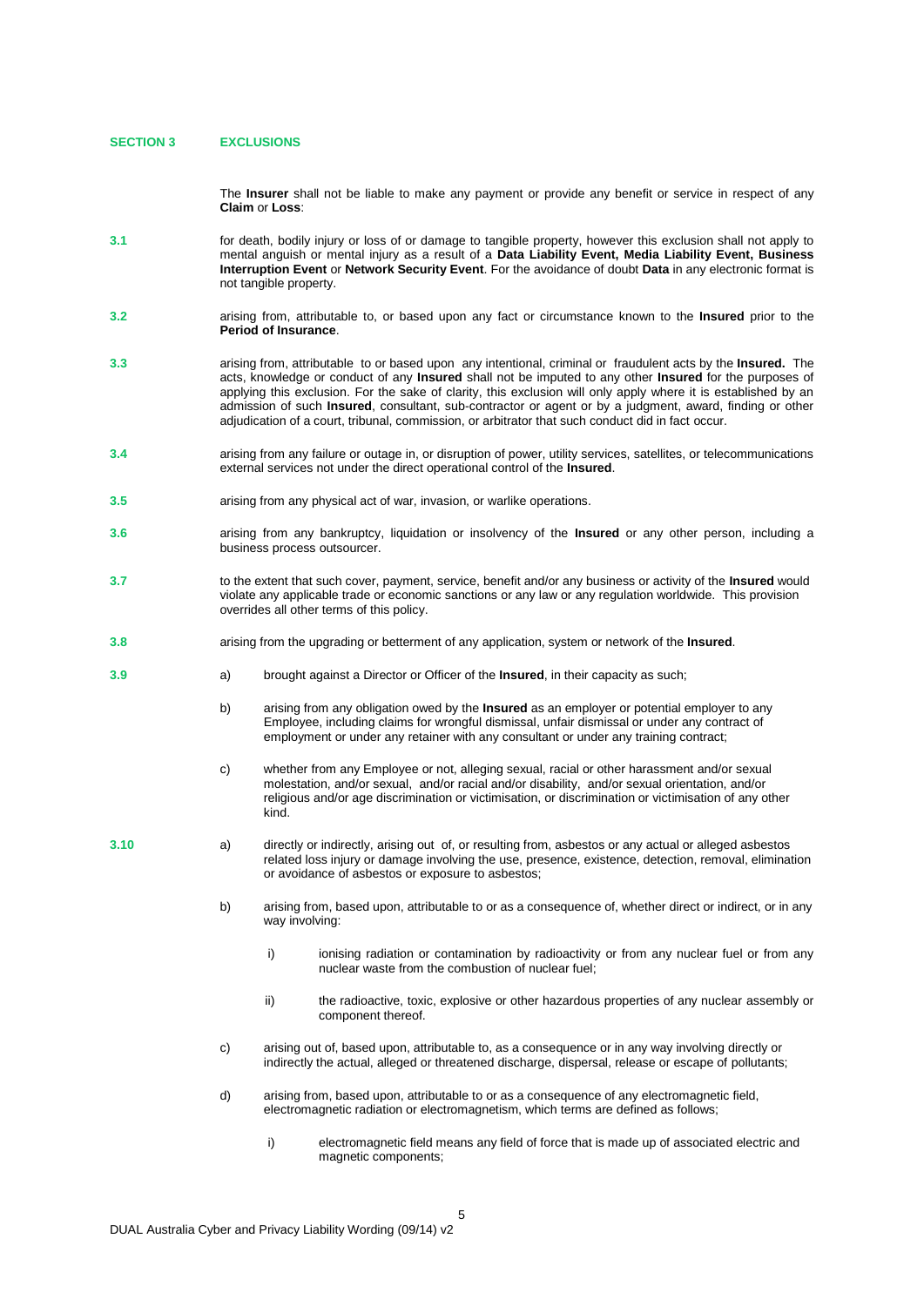#### **SECTION 3 EXCLUSIONS**

The **Insurer** shall not be liable to make any payment or provide any benefit or service in respect of any **Claim** or **Loss**:

- **3.1** for death, bodily injury or loss of or damage to tangible property, however this exclusion shall not apply to mental anguish or mental injury as a result of a **Data Liability Event, Media Liability Event, Business Interruption Event** or **Network Security Event**. For the avoidance of doubt **Data** in any electronic format is not tangible property.
- **3.2** arising from, attributable to, or based upon any fact or circumstance known to the **Insured** prior to the **Period of Insurance**.
- **3.3** arising from, attributable to or based upon any intentional, criminal or fraudulent acts by the **Insured.** The acts, knowledge or conduct of any **Insured** shall not be imputed to any other **Insured** for the purposes of applying this exclusion. For the sake of clarity, this exclusion will only apply where it is established by an admission of such **Insured**, consultant, sub-contractor or agent or by a judgment, award, finding or other adjudication of a court, tribunal, commission, or arbitrator that such conduct did in fact occur.
- **3.4** arising from any failure or outage in, or disruption of power, utility services, satellites, or telecommunications external services not under the direct operational control of the **Insured**.
- **3.5** arising from any physical act of war, invasion, or warlike operations.
- **3.6** arising from any bankruptcy, liquidation or insolvency of the **Insured** or any other person, including a business process outsourcer.
- **3.7** to the extent that such cover, payment, service, benefit and/or any business or activity of the **Insured** would violate any applicable trade or economic sanctions or any law or any regulation worldwide. This provision overrides all other terms of this policy.
- **3.8** arising from the upgrading or betterment of any application, system or network of the **Insured**.
- **3.9** a) brought against a Director or Officer of the **Insured**, in their capacity as such;
	- b) arising from any obligation owed by the **Insured** as an employer or potential employer to any Employee, including claims for wrongful dismissal, unfair dismissal or under any contract of employment or under any retainer with any consultant or under any training contract;
	- c) whether from any Employee or not, alleging sexual, racial or other harassment and/or sexual molestation, and/or sexual, and/or racial and/or disability, and/or sexual orientation, and/or religious and/or age discrimination or victimisation, or discrimination or victimisation of any other kind.
- **3.10** a) directly or indirectly, arising out of, or resulting from, asbestos or any actual or alleged asbestos related loss injury or damage involving the use, presence, existence, detection, removal, elimination or avoidance of asbestos or exposure to asbestos;
	- b) arising from, based upon, attributable to or as a consequence of, whether direct or indirect, or in any way involving:
		- i) inconstrumediation or contamination by radioactivity or from any nuclear fuel or from any nuclear waste from the combustion of nuclear fuel;
		- ii) the radioactive, toxic, explosive or other hazardous properties of any nuclear assembly or component thereof.
	- c) arising out of, based upon, attributable to, as a consequence or in any way involving directly or indirectly the actual, alleged or threatened discharge, dispersal, release or escape of pollutants;
	- d) arising from, based upon, attributable to or as a consequence of any electromagnetic field, electromagnetic radiation or electromagnetism, which terms are defined as follows;
		- i) electromagnetic field means any field of force that is made up of associated electric and magnetic components;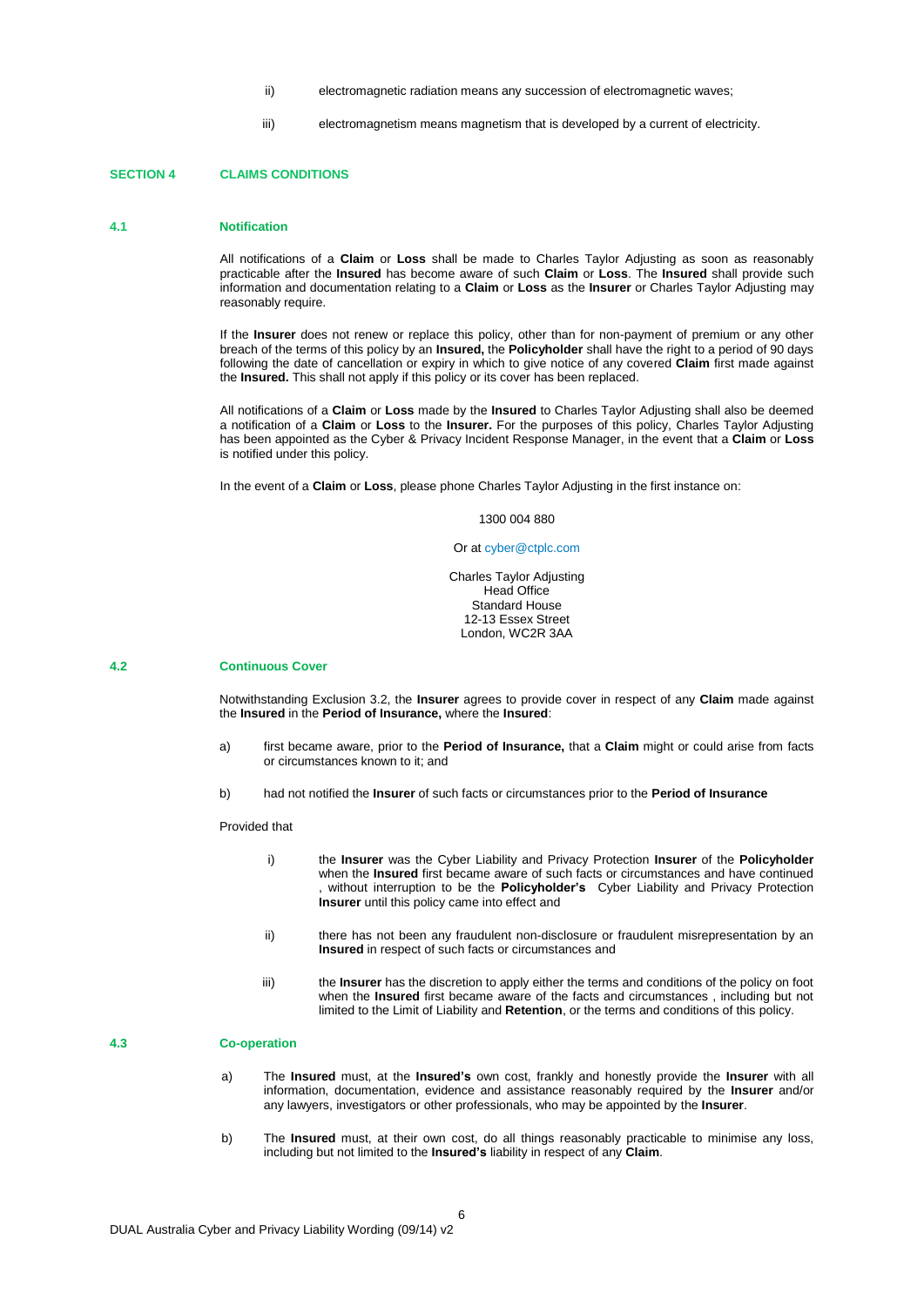- ii) electromagnetic radiation means any succession of electromagnetic waves;
- iii) electromagnetism means magnetism that is developed by a current of electricity.

#### **SECTION 4 CLAIMS CONDITIONS**

#### **4.1 Notification**

All notifications of a **Claim** or **Loss** shall be made to Charles Taylor Adjusting as soon as reasonably practicable after the **Insured** has become aware of such **Claim** or **Loss**. The **Insured** shall provide such information and documentation relating to a **Claim** or **Loss** as the **Insurer** or Charles Taylor Adjusting may reasonably require.

If the **Insurer** does not renew or replace this policy, other than for non-payment of premium or any other breach of the terms of this policy by an **Insured,** the **Policyholder** shall have the right to a period of 90 days following the date of cancellation or expiry in which to give notice of any covered **Claim** first made against the **Insured.** This shall not apply if this policy or its cover has been replaced.

All notifications of a **Claim** or **Loss** made by the **Insured** to Charles Taylor Adjusting shall also be deemed a notification of a **Claim** or **Loss** to the **Insurer.** For the purposes of this policy, Charles Taylor Adjusting has been appointed as the Cyber & Privacy Incident Response Manager, in the event that a **Claim** or **Loss** is notified under this policy.

In the event of a **Claim** or **Loss**, please phone Charles Taylor Adjusting in the first instance on:

#### 1300 004 880

#### Or a[t cyber@ctplc.com](mailto:cyber@ctplc.com)

Charles Taylor Adjusting Head Office Standard House 12-13 Essex Street London, WC2R 3AA

#### **4.2 Continuous Cover**

Notwithstanding Exclusion 3.2, the **Insurer** agrees to provide cover in respect of any **Claim** made against the **Insured** in the **Period of Insurance,** where the **Insured**:

- a) first became aware, prior to the **Period of Insurance,** that a **Claim** might or could arise from facts or circumstances known to it; and
- b) had not notified the **Insurer** of such facts or circumstances prior to the **Period of Insurance**

#### Provided that

- i) the **Insurer** was the Cyber Liability and Privacy Protection **Insurer** of the **Policyholder**  when the **Insured** first became aware of such facts or circumstances and have continued , without interruption to be the **Policyholder's** Cyber Liability and Privacy Protection **Insurer** until this policy came into effect and
- ii) there has not been any fraudulent non-disclosure or fraudulent misrepresentation by an **Insured** in respect of such facts or circumstances and
- iii) the **Insurer** has the discretion to apply either the terms and conditions of the policy on foot when the **Insured** first became aware of the facts and circumstances, including but not limited to the Limit of Liability and **Retention**, or the terms and conditions of this policy.

### **4.3 Co-operation**

- a) The **Insured** must, at the **Insured's** own cost, frankly and honestly provide the **Insurer** with all information, documentation, evidence and assistance reasonably required by the **Insurer** and/or any lawyers, investigators or other professionals, who may be appointed by the **Insurer**.
- b) The **Insured** must, at their own cost, do all things reasonably practicable to minimise any loss, including but not limited to the **Insured's** liability in respect of any **Claim**.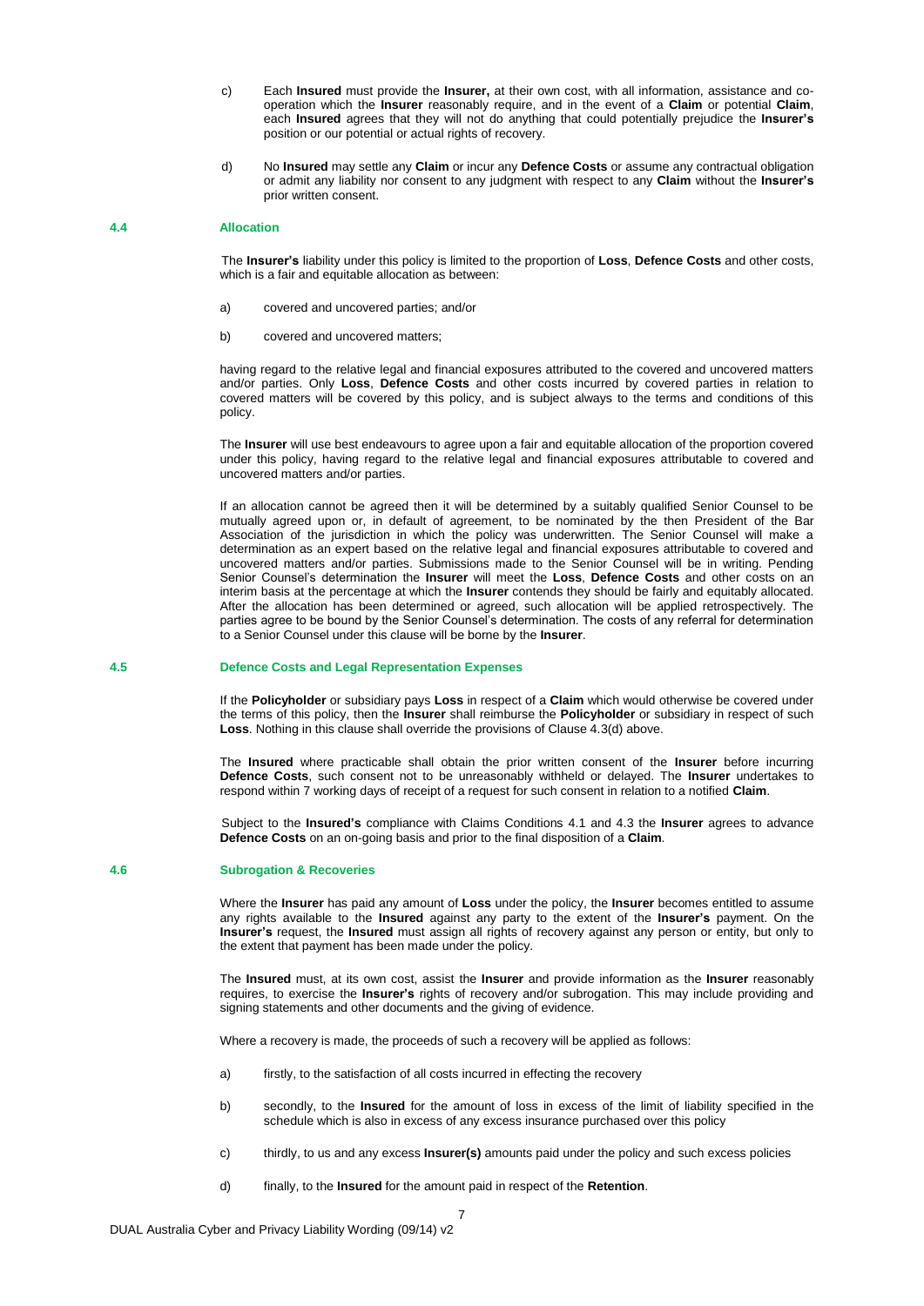- c) Each **Insured** must provide the **Insurer,** at their own cost, with all information, assistance and cooperation which the **Insurer** reasonably require, and in the event of a **Claim** or potential **Claim**, each **Insured** agrees that they will not do anything that could potentially prejudice the **Insurer's** position or our potential or actual rights of recovery.
- d) No **Insured** may settle any **Claim** or incur any **Defence Costs** or assume any contractual obligation or admit any liability nor consent to any judgment with respect to any **Claim** without the **Insurer's** prior written consent.

#### **4.4 Allocation**

The **Insurer's** liability under this policy is limited to the proportion of **Loss**, **Defence Costs** and other costs, which is a fair and equitable allocation as between:

- a) covered and uncovered parties; and/or
- b) covered and uncovered matters;

having regard to the relative legal and financial exposures attributed to the covered and uncovered matters and/or parties. Only **Loss**, **Defence Costs** and other costs incurred by covered parties in relation to covered matters will be covered by this policy, and is subject always to the terms and conditions of this policy.

The **Insurer** will use best endeavours to agree upon a fair and equitable allocation of the proportion covered under this policy, having regard to the relative legal and financial exposures attributable to covered and uncovered matters and/or parties.

If an allocation cannot be agreed then it will be determined by a suitably qualified Senior Counsel to be mutually agreed upon or, in default of agreement, to be nominated by the then President of the Bar Association of the jurisdiction in which the policy was underwritten. The Senior Counsel will make a determination as an expert based on the relative legal and financial exposures attributable to covered and uncovered matters and/or parties. Submissions made to the Senior Counsel will be in writing. Pending Senior Counsel's determination the **Insurer** will meet the **Loss**, **Defence Costs** and other costs on an interim basis at the percentage at which the **Insurer** contends they should be fairly and equitably allocated. After the allocation has been determined or agreed, such allocation will be applied retrospectively. The parties agree to be bound by the Senior Counsel's determination. The costs of any referral for determination to a Senior Counsel under this clause will be borne by the **Insurer**.

#### **4.5 Defence Costs and Legal Representation Expenses**

If the **Policyholder** or subsidiary pays **Loss** in respect of a **Claim** which would otherwise be covered under the terms of this policy, then the **Insurer** shall reimburse the **Policyholder** or subsidiary in respect of such **Loss**. Nothing in this clause shall override the provisions of Clause 4.3(d) above.

The **Insured** where practicable shall obtain the prior written consent of the **Insurer** before incurring **Defence Costs**, such consent not to be unreasonably withheld or delayed. The **Insurer** undertakes to respond within 7 working days of receipt of a request for such consent in relation to a notified **Claim**.

Subject to the **Insured's** compliance with Claims Conditions 4.1 and 4.3 the **Insurer** agrees to advance **Defence Costs** on an on-going basis and prior to the final disposition of a **Claim**.

#### **4.6 Subrogation & Recoveries**

Where the **Insurer** has paid any amount of **Loss** under the policy, the **Insurer** becomes entitled to assume any rights available to the **Insured** against any party to the extent of the **Insurer's** payment. On the **Insurer's** request, the **Insured** must assign all rights of recovery against any person or entity, but only to the extent that payment has been made under the policy.

The **Insured** must, at its own cost, assist the **Insurer** and provide information as the **Insurer** reasonably requires, to exercise the **Insurer's** rights of recovery and/or subrogation. This may include providing and signing statements and other documents and the giving of evidence.

Where a recovery is made, the proceeds of such a recovery will be applied as follows:

- a) firstly, to the satisfaction of all costs incurred in effecting the recovery
- b) secondly, to the **Insured** for the amount of loss in excess of the limit of liability specified in the schedule which is also in excess of any excess insurance purchased over this policy
- c) thirdly, to us and any excess **Insurer(s)** amounts paid under the policy and such excess policies
- d) finally, to the **Insured** for the amount paid in respect of the **Retention**.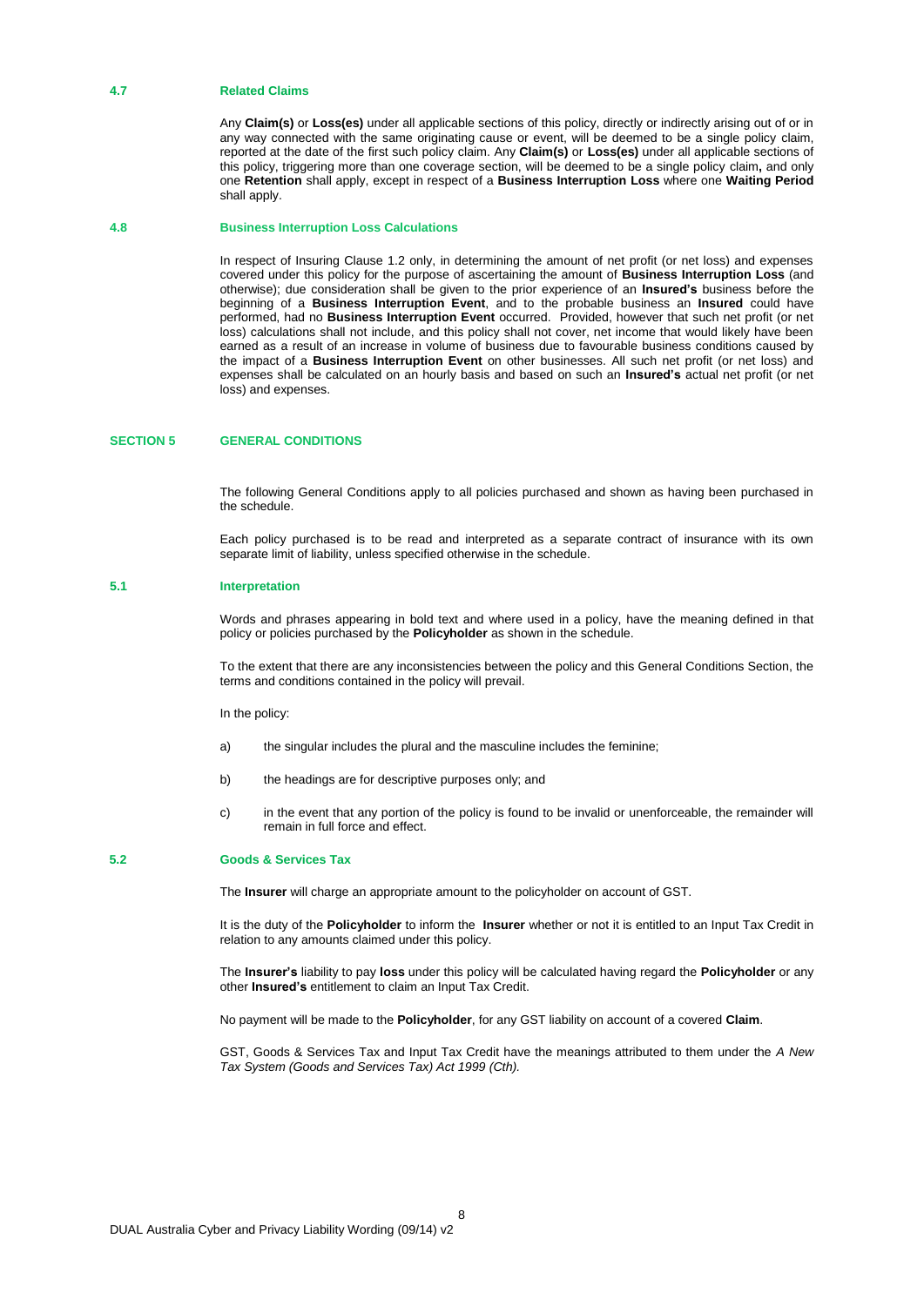#### **4.7 Related Claims**

Any **Claim(s)** or **Loss(es)** under all applicable sections of this policy, directly or indirectly arising out of or in any way connected with the same originating cause or event, will be deemed to be a single policy claim, reported at the date of the first such policy claim. Any **Claim(s)** or **Loss(es)** under all applicable sections of this policy, triggering more than one coverage section, will be deemed to be a single policy claim**,** and only one **Retention** shall apply, except in respect of a **Business Interruption Loss** where one **Waiting Period** shall apply.

#### **4.8 Business Interruption Loss Calculations**

In respect of Insuring Clause 1.2 only, in determining the amount of net profit (or net loss) and expenses covered under this policy for the purpose of ascertaining the amount of **Business Interruption Loss** (and otherwise); due consideration shall be given to the prior experience of an **Insured's** business before the beginning of a **Business Interruption Event**, and to the probable business an **Insured** could have performed, had no **Business Interruption Event** occurred. Provided, however that such net profit (or net loss) calculations shall not include, and this policy shall not cover, net income that would likely have been earned as a result of an increase in volume of business due to favourable business conditions caused by the impact of a **Business Interruption Event** on other businesses. All such net profit (or net loss) and expenses shall be calculated on an hourly basis and based on such an **Insured's** actual net profit (or net loss) and expenses.

#### **SECTION 5 GENERAL CONDITIONS**

The following General Conditions apply to all policies purchased and shown as having been purchased in the schedule.

Each policy purchased is to be read and interpreted as a separate contract of insurance with its own separate limit of liability, unless specified otherwise in the schedule.

#### **5.1 Interpretation**

Words and phrases appearing in bold text and where used in a policy, have the meaning defined in that policy or policies purchased by the **Policyholder** as shown in the schedule.

To the extent that there are any inconsistencies between the policy and this General Conditions Section, the terms and conditions contained in the policy will prevail.

In the policy:

- a) the singular includes the plural and the masculine includes the feminine;
- b) the headings are for descriptive purposes only; and
- c) in the event that any portion of the policy is found to be invalid or unenforceable, the remainder will remain in full force and effect.

#### **5.2 Goods & Services Tax**

The **Insurer** will charge an appropriate amount to the policyholder on account of GST.

It is the duty of the **Policyholder** to inform the **Insurer** whether or not it is entitled to an Input Tax Credit in relation to any amounts claimed under this policy.

The **Insurer's** liability to pay **loss** under this policy will be calculated having regard the **Policyholder** or any other **Insured's** entitlement to claim an Input Tax Credit.

No payment will be made to the **Policyholder**, for any GST liability on account of a covered **Claim**.

GST, Goods & Services Tax and Input Tax Credit have the meanings attributed to them under the *A New Tax System (Goods and Services Tax) Act 1999 (Cth).*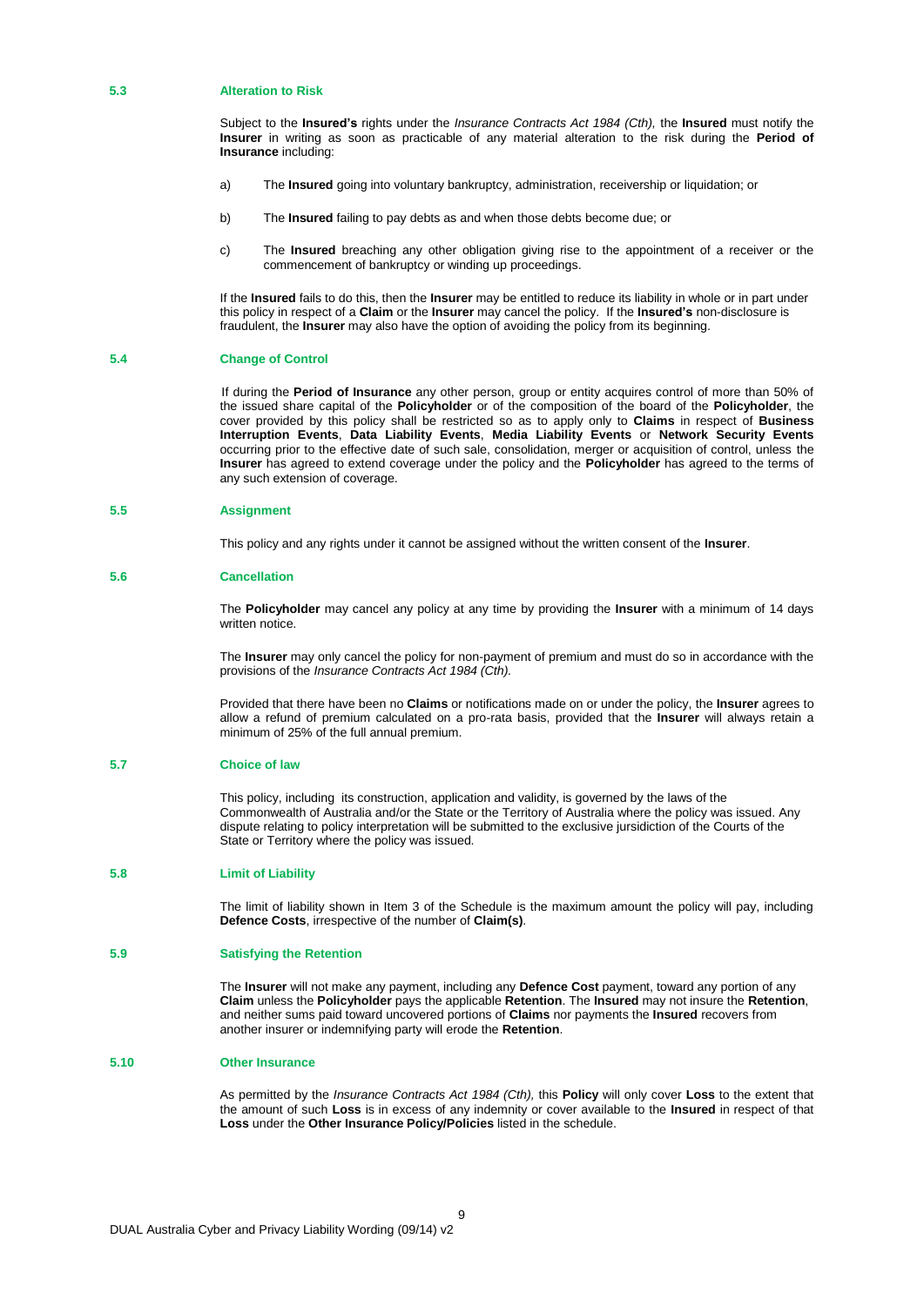#### **5.3 Alteration to Risk**

Subject to the **Insured's** rights under the *Insurance Contracts Act 1984 (Cth),* the **Insured** must notify the **Insurer** in writing as soon as practicable of any material alteration to the risk during the **Period of Insurance** including:

- a) The **Insured** going into voluntary bankruptcy, administration, receivership or liquidation; or
- b) The **Insured** failing to pay debts as and when those debts become due; or
- c) The **Insured** breaching any other obligation giving rise to the appointment of a receiver or the commencement of bankruptcy or winding up proceedings.

If the **Insured** fails to do this, then the **Insurer** may be entitled to reduce its liability in whole or in part under this policy in respect of a **Claim** or the **Insurer** may cancel the policy. If the **Insured's** non-disclosure is fraudulent, the **Insurer** may also have the option of avoiding the policy from its beginning.

#### **5.4 Change of Control**

If during the **Period of Insurance** any other person, group or entity acquires control of more than 50% of the issued share capital of the **Policyholder** or of the composition of the board of the **Policyholder**, the cover provided by this policy shall be restricted so as to apply only to **Claims** in respect of **Business Interruption Events**, **Data Liability Events**, **Media Liability Events** or **Network Security Events**  occurring prior to the effective date of such sale, consolidation, merger or acquisition of control, unless the **Insurer** has agreed to extend coverage under the policy and the **Policyholder** has agreed to the terms of any such extension of coverage.

#### **5.5 Assignment**

This policy and any rights under it cannot be assigned without the written consent of the **Insurer**.

#### **5.6 Cancellation**

The **Policyholder** may cancel any policy at any time by providing the **Insurer** with a minimum of 14 days written notice.

The **Insurer** may only cancel the policy for non-payment of premium and must do so in accordance with the provisions of the *Insurance Contracts Act 1984 (Cth).*

Provided that there have been no **Claims** or notifications made on or under the policy, the **Insurer** agrees to allow a refund of premium calculated on a pro-rata basis, provided that the **Insurer** will always retain a minimum of 25% of the full annual premium.

#### **5.7 Choice of law**

This policy, including its construction, application and validity, is governed by the laws of the Commonwealth of Australia and/or the State or the Territory of Australia where the policy was issued. Any dispute relating to policy interpretation will be submitted to the exclusive jursidiction of the Courts of the State or Territory where the policy was issued.

#### **5.8 Limit of Liability**

The limit of liability shown in Item 3 of the Schedule is the maximum amount the policy will pay, including **Defence Costs**, irrespective of the number of **Claim(s)**.

#### **5.9 Satisfying the Retention**

The **Insurer** will not make any payment, including any **Defence Cost** payment, toward any portion of any **Claim** unless the **Policyholder** pays the applicable **Retention**. The **Insured** may not insure the **Retention**, and neither sums paid toward uncovered portions of **Claims** nor payments the **Insured** recovers from another insurer or indemnifying party will erode the **Retention**.

#### **5.10 Other Insurance**

As permitted by the *Insurance Contracts Act 1984 (Cth),* this **Policy** will only cover **Loss** to the extent that the amount of such **Loss** is in excess of any indemnity or cover available to the **Insured** in respect of that **Loss** under the **Other Insurance Policy/Policies** listed in the schedule.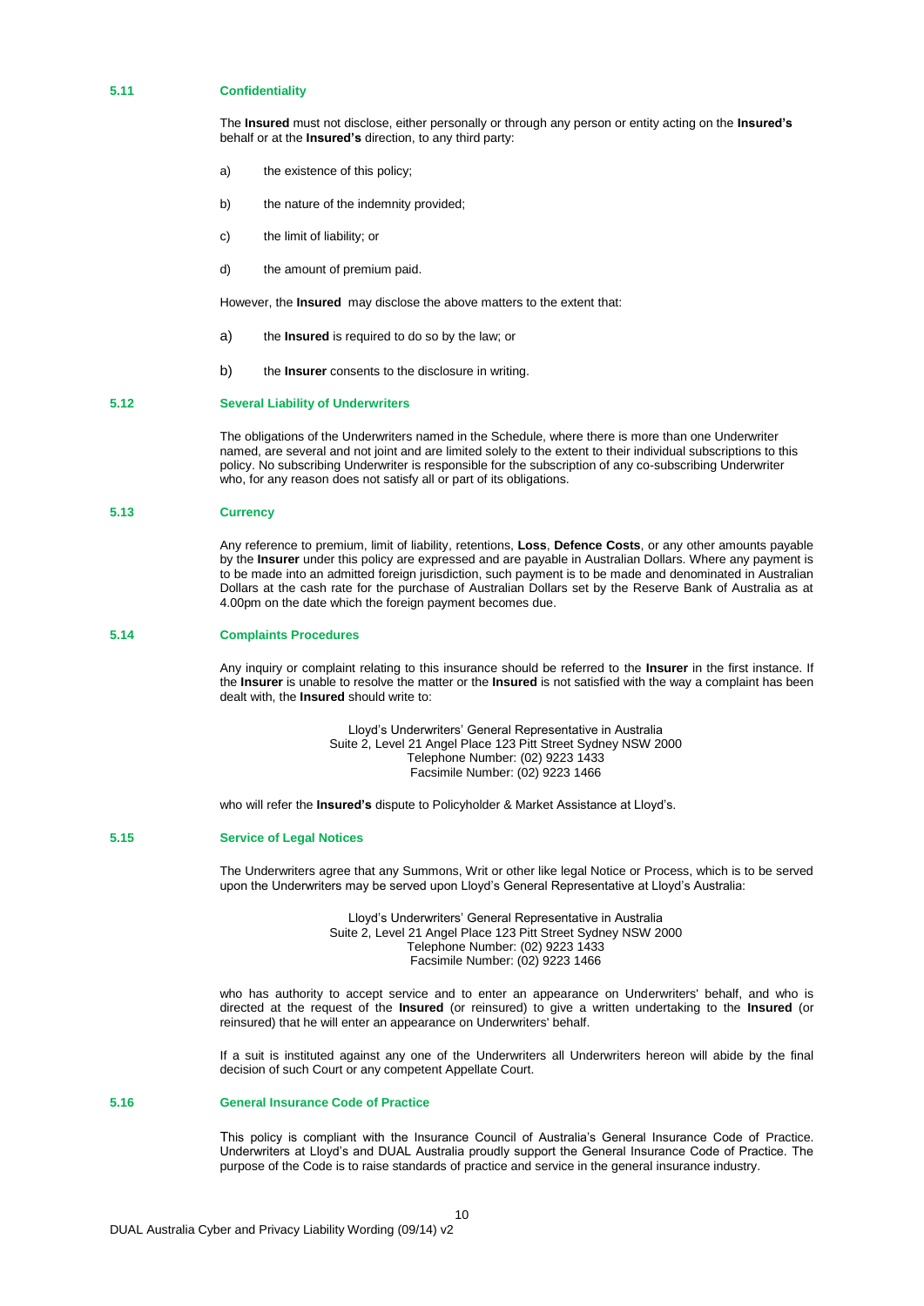#### **5.11 Confidentiality**

The **Insured** must not disclose, either personally or through any person or entity acting on the **Insured's**  behalf or at the **Insured's** direction, to any third party:

- a) the existence of this policy;
- b) the nature of the indemnity provided;
- c) the limit of liability; or
- d) the amount of premium paid.

However, the **Insured** may disclose the above matters to the extent that:

- a) the **Insured** is required to do so by the law; or
- b) the **Insurer** consents to the disclosure in writing.

#### **5.12 Several Liability of Underwriters**

The obligations of the Underwriters named in the Schedule, where there is more than one Underwriter named, are several and not joint and are limited solely to the extent to their individual subscriptions to this policy. No subscribing Underwriter is responsible for the subscription of any co-subscribing Underwriter who, for any reason does not satisfy all or part of its obligations.

#### **5.13 Currency**

Any reference to premium, limit of liability, retentions, **Loss**, **Defence Costs**, or any other amounts payable by the **Insurer** under this policy are expressed and are payable in Australian Dollars. Where any payment is to be made into an admitted foreign jurisdiction, such payment is to be made and denominated in Australian Dollars at the cash rate for the purchase of Australian Dollars set by the Reserve Bank of Australia as at 4.00pm on the date which the foreign payment becomes due.

#### **5.14 Complaints Procedures**

Any inquiry or complaint relating to this insurance should be referred to the **Insurer** in the first instance. If the **Insurer** is unable to resolve the matter or the **Insured** is not satisfied with the way a complaint has been dealt with, the **Insured** should write to:

> Lloyd's Underwriters' General Representative in Australia Suite 2, Level 21 Angel Place 123 Pitt Street Sydney NSW 2000 Telephone Number: (02) 9223 1433 Facsimile Number: (02) 9223 1466

who will refer the **Insured's** dispute to Policyholder & Market Assistance at Lloyd's.

#### **5.15 Service of Legal Notices**

The Underwriters agree that any Summons, Writ or other like legal Notice or Process, which is to be served upon the Underwriters may be served upon Lloyd's General Representative at Lloyd's Australia:

> Lloyd's Underwriters' General Representative in Australia Suite 2, Level 21 Angel Place 123 Pitt Street Sydney NSW 2000 Telephone Number: (02) 9223 1433 Facsimile Number: (02) 9223 1466

who has authority to accept service and to enter an appearance on Underwriters' behalf, and who is directed at the request of the **Insured** (or reinsured) to give a written undertaking to the **Insured** (or reinsured) that he will enter an appearance on Underwriters' behalf.

If a suit is instituted against any one of the Underwriters all Underwriters hereon will abide by the final decision of such Court or any competent Appellate Court.

#### **5.16 General Insurance Code of Practice**

This policy is compliant with the Insurance Council of Australia's General Insurance Code of Practice. Underwriters at Lloyd's and DUAL Australia proudly support the General Insurance Code of Practice. The purpose of the Code is to raise standards of practice and service in the general insurance industry.

10